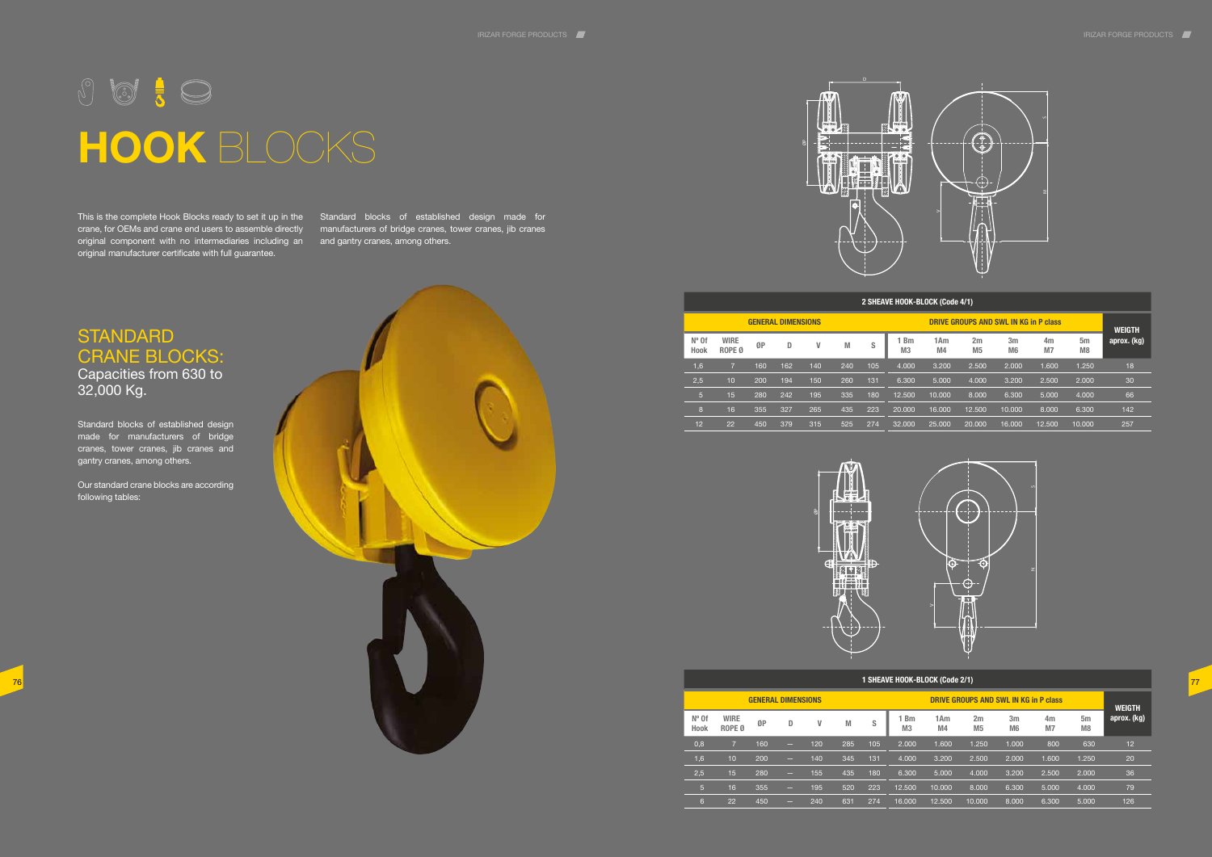

## **STANDARD** CRANE BLOCKS: Capacities from 630 to

32,000 Kg.

Standard blocks of established design made for manufacturers of bridge cranes, tower cranes, jib cranes and gantry cranes, among others.

Our standard crane blocks are according following tables:

This is the complete Hook Blocks ready to set it up in the Standard blocks of established design made for crane, for OEMs and crane end users to assemble directly manufacturers of bridge cranes, tower cranes, jib cranes original component with no intermediaries including an and gantry cranes, among others. original manufacturer certificate with full guarantee.





# $\text{S} \quad \text{S} \quad \text{S} \quad \text{S}$ **HOOK** BLOCKS

| 2 SHEAVE HOOK-BLOCK (Code 4/1) |                                  |     |                           |     |     |     |                             |               |                      |                                  |                      |                                  |             |
|--------------------------------|----------------------------------|-----|---------------------------|-----|-----|-----|-----------------------------|---------------|----------------------|----------------------------------|----------------------|----------------------------------|-------------|
|                                |                                  |     | <b>GENERAL DIMENSIONS</b> |     |     |     |                             | <b>WEIGTH</b> |                      |                                  |                      |                                  |             |
| $N^{\circ}$ Of<br>Hook         | <b>WIRE</b><br>ROPE <sub>0</sub> | ØP  | D                         | V   | M   | S   | <b>Bm</b><br>M <sub>3</sub> | 1Am<br>M4     | 2m<br>M <sub>5</sub> | 3 <sub>m</sub><br>M <sub>6</sub> | 4m<br>M <sub>7</sub> | 5 <sub>m</sub><br>M <sub>8</sub> | aprox. (kg) |
| 1,6                            | 7                                | 160 | 162                       | 140 | 240 | 105 | 4.000                       | 3.200         | 2.500                | 2.000                            | 1.600                | 1.250                            | 18          |
| 2,5                            | 10                               | 200 | 194                       | 150 | 260 | 131 | 6.300                       | 5.000         | 4.000                | 3.200                            | 2.500                | 2.000                            | 30          |
| $5\overline{)}$                | 15                               | 280 | 242                       | 195 | 335 | 180 | 12.500                      | 10.000        | 8.000                | 6.300                            | 5.000                | 4.000                            | 66          |
| 8                              | 16                               | 355 | 327                       | 265 | 435 | 223 | 20.000                      | 16.000        | 12.500               | 10.000                           | 8.000                | 6.300                            | 142         |
| 12                             | 22                               | 450 | 379                       | 315 | 525 | 274 | 32.000                      | 25.000        | 20,000               | 16.000                           | 12.500               | 10.000                           | 257         |





## **1 SHEAVE HOOK-BLOCK (Code 2/1)**

|                        |                                  |     | <b>GENERAL DIMENSIONS</b> |     |     |     |                        | <b>WEIGTH</b> |                      |                                  |                      |                                  |             |
|------------------------|----------------------------------|-----|---------------------------|-----|-----|-----|------------------------|---------------|----------------------|----------------------------------|----------------------|----------------------------------|-------------|
| $N^{\circ}$ Of<br>Hook | <b>WIRE</b><br>ROPE <sub>0</sub> | ØP  | D                         | ۷   | M   | S   | 1 Bm<br>M <sub>3</sub> | 1Am<br>M4     | 2m<br>M <sub>5</sub> | 3 <sub>m</sub><br>M <sub>6</sub> | 4m<br>M <sub>7</sub> | 5 <sub>m</sub><br>M <sub>8</sub> | aprox. (kg) |
| 0,8                    | $\overline{7}$                   | 160 | -                         | 120 | 285 | 105 | 2.000                  | 1.600         | 1.250                | 1.000                            | 800                  | 630                              | 12          |
| 1,6                    | 10                               | 200 | -                         | 140 | 345 | 131 | 4.000                  | 3.200         | 2.500                | 2.000                            | 1.600                | 1.250                            | 20          |
| 2,5                    | 15                               | 280 | -                         | 155 | 435 | 180 | 6.300                  | 5.000         | 4.000                | 3.200                            | 2.500                | 2.000                            | 36          |
| 5                      | 16                               | 355 | -                         | 195 | 520 | 223 | 12.500                 | 10.000        | 8.000                | 6.300                            | 5.000                | 4.000                            | 79          |
| 6.                     | 22                               | 450 | -                         | 240 | 631 | 274 | 16.000                 | 12.500        | 10.000               | 8.000                            | 6.300                | 5.000                            | 126         |